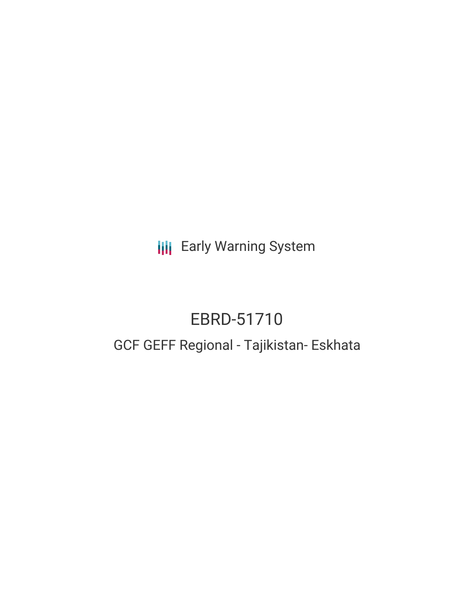**III** Early Warning System

# EBRD-51710

# GCF GEFF Regional - Tajikistan- Eskhata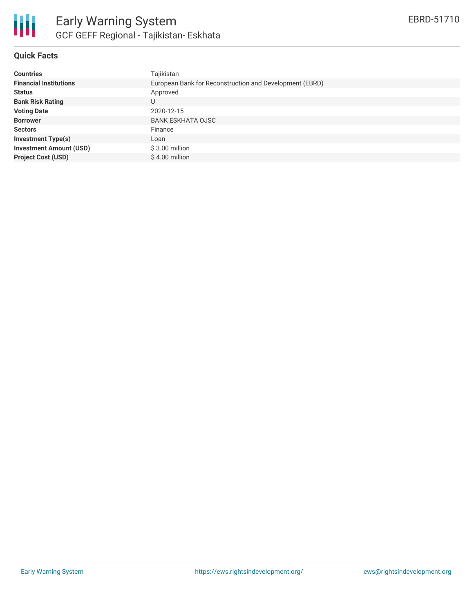

## **Quick Facts**

| <b>Countries</b>               | Tajikistan                                              |
|--------------------------------|---------------------------------------------------------|
| <b>Financial Institutions</b>  | European Bank for Reconstruction and Development (EBRD) |
| <b>Status</b>                  | Approved                                                |
| <b>Bank Risk Rating</b>        | U                                                       |
| <b>Voting Date</b>             | 2020-12-15                                              |
| <b>Borrower</b>                | <b>BANK ESKHATA OJSC</b>                                |
| <b>Sectors</b>                 | Finance                                                 |
| <b>Investment Type(s)</b>      | Loan                                                    |
| <b>Investment Amount (USD)</b> | $$3.00$ million                                         |
| <b>Project Cost (USD)</b>      | \$4.00 million                                          |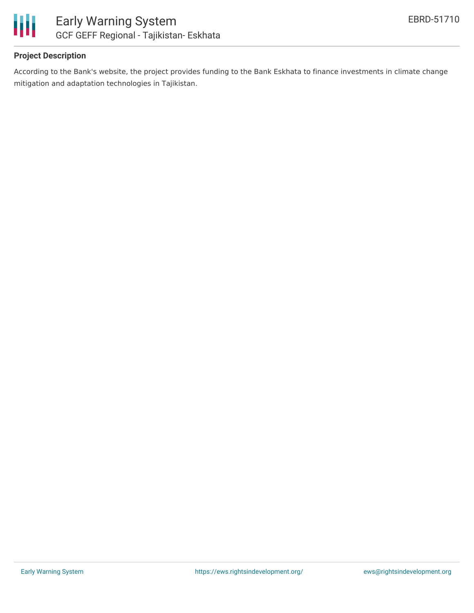

## **Project Description**

According to the Bank's website, the project provides funding to the Bank Eskhata to finance investments in climate change mitigation and adaptation technologies in Tajikistan.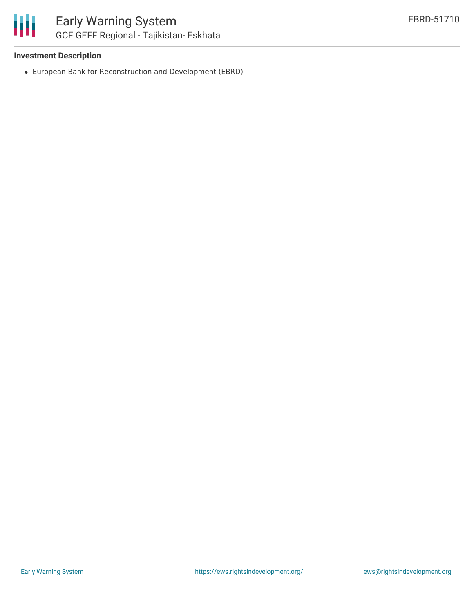## **Investment Description**

European Bank for Reconstruction and Development (EBRD)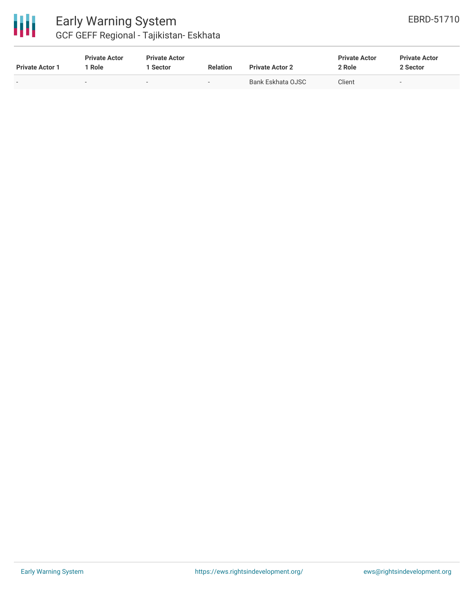

| <b>Private Actor 1</b> | <b>Private Actor</b><br>Role | <b>Private Actor</b><br>1 Sector | <b>Relation</b>          | <b>Private Actor 2</b> | <b>Private Actor</b><br>2 Role | <b>Private Actor</b><br>2 Sector |
|------------------------|------------------------------|----------------------------------|--------------------------|------------------------|--------------------------------|----------------------------------|
| . .                    |                              | $\overline{\phantom{0}}$         | $\overline{\phantom{0}}$ | Bank Eskhata OJSC      | Client                         | $\overline{\phantom{a}}$         |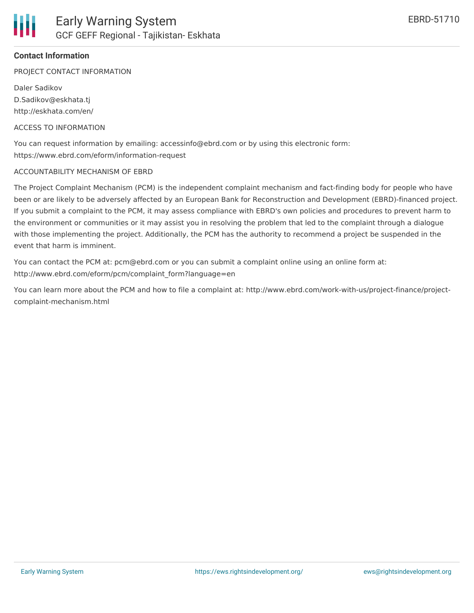#### **Contact Information**

PROJECT CONTACT INFORMATION

Daler Sadikov D.Sadikov@eskhata.tj http://eskhata.com/en/

#### ACCESS TO INFORMATION

You can request information by emailing: accessinfo@ebrd.com or by using this electronic form: https://www.ebrd.com/eform/information-request

#### ACCOUNTABILITY MECHANISM OF EBRD

The Project Complaint Mechanism (PCM) is the independent complaint mechanism and fact-finding body for people who have been or are likely to be adversely affected by an European Bank for Reconstruction and Development (EBRD)-financed project. If you submit a complaint to the PCM, it may assess compliance with EBRD's own policies and procedures to prevent harm to the environment or communities or it may assist you in resolving the problem that led to the complaint through a dialogue with those implementing the project. Additionally, the PCM has the authority to recommend a project be suspended in the event that harm is imminent.

You can contact the PCM at: pcm@ebrd.com or you can submit a complaint online using an online form at: http://www.ebrd.com/eform/pcm/complaint\_form?language=en

You can learn more about the PCM and how to file a complaint at: http://www.ebrd.com/work-with-us/project-finance/projectcomplaint-mechanism.html